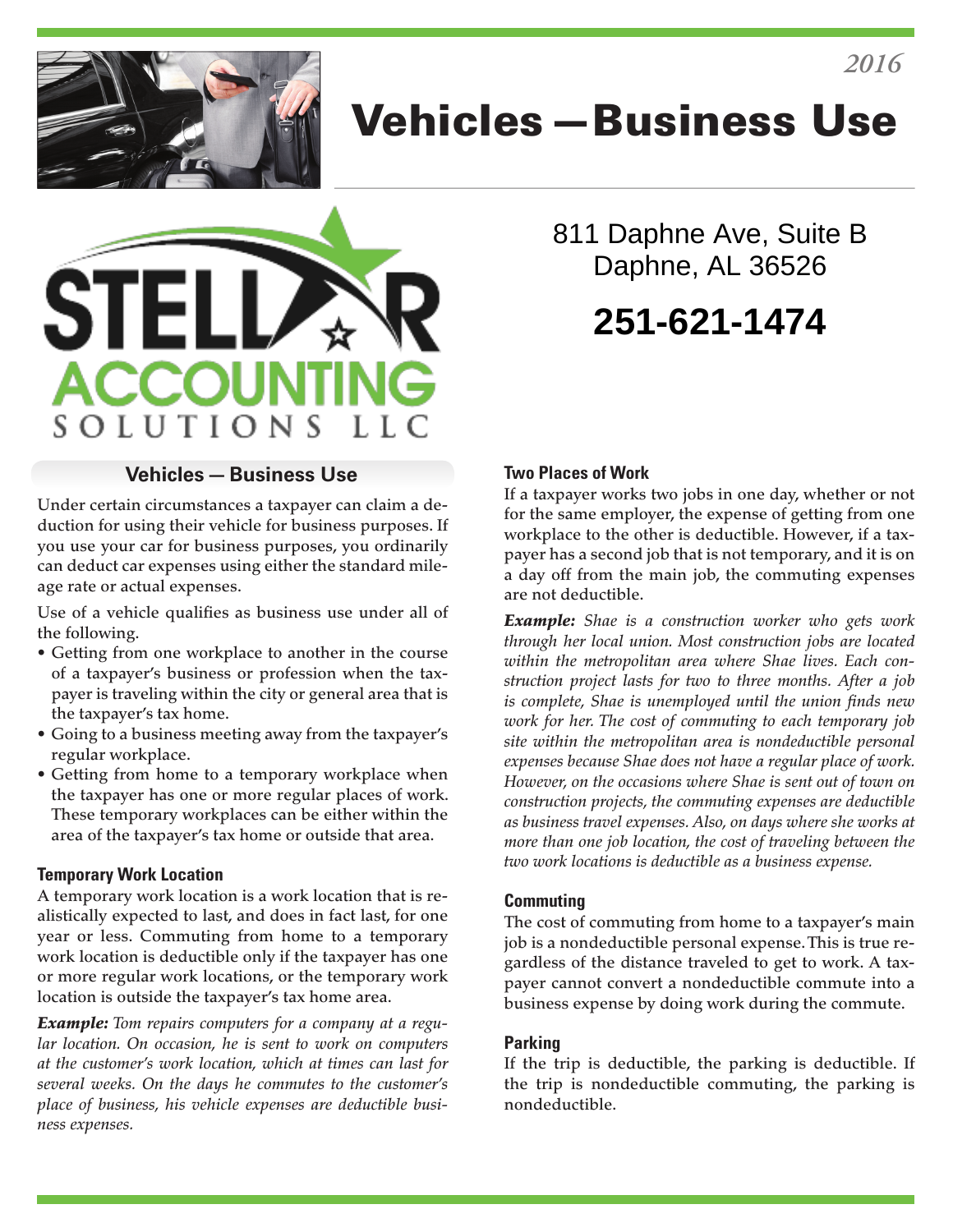

# Vehicles—Business Use



## 811 Daphne Ave, Suite B Daphne, AL 36526 **251-621-1474**

#### **Vehicles—Business Use**

Under certain circumstances a taxpayer can claim a deduction for using their vehicle for business purposes. If you use your car for business purposes, you ordinarily can deduct car expenses using either the standard mileage rate or actual expenses.

Use of a vehicle qualifies as business use under all of the following.

- Getting from one workplace to another in the course of a taxpayer's business or profession when the taxpayer is traveling within the city or general area that is the taxpayer's tax home.
- Going to a business meeting away from the taxpayer's regular workplace.
- Getting from home to a temporary workplace when the taxpayer has one or more regular places of work. These temporary workplaces can be either within the area of the taxpayer's tax home or outside that area.

#### **Temporary Work Location**

A temporary work location is a work location that is realistically expected to last, and does in fact last, for one year or less. Commuting from home to a temporary work location is deductible only if the taxpayer has one or more regular work locations, or the temporary work location is outside the taxpayer's tax home area.

*Example: Tom repairs computers for a company at a regular location. On occasion, he is sent to work on computers at the customer's work location, which at times can last for several weeks. On the days he commutes to the customer's place of business, his vehicle expenses are deductible business expenses.*

#### **Two Places of Work**

If a taxpayer works two jobs in one day, whether or not for the same employer, the expense of getting from one workplace to the other is deductible. However, if a taxpayer has a second job that is not temporary, and it is on a day off from the main job, the commuting expenses are not deductible.

*Example: Shae is a construction worker who gets work through her local union. Most construction jobs are located within the metropolitan area where Shae lives. Each construction project lasts for two to three months. After a job is complete, Shae is unemployed until the union finds new work for her. The cost of commuting to each temporary job site within the metropolitan area is nondeductible personal expenses because Shae does not have a regular place of work. However, on the occasions where Shae is sent out of town on construction projects, the commuting expenses are deductible as business travel expenses. Also, on days where she works at more than one job location, the cost of traveling between the two work locations is deductible as a business expense.*

#### **Commuting**

The cost of commuting from home to a taxpayer's main job is a nondeductible personal expense. This is true regardless of the distance traveled to get to work. A taxpayer cannot convert a nondeductible commute into a business expense by doing work during the commute.

#### **Parking**

If the trip is deductible, the parking is deductible. If the trip is nondeductible commuting, the parking is nondeductible.